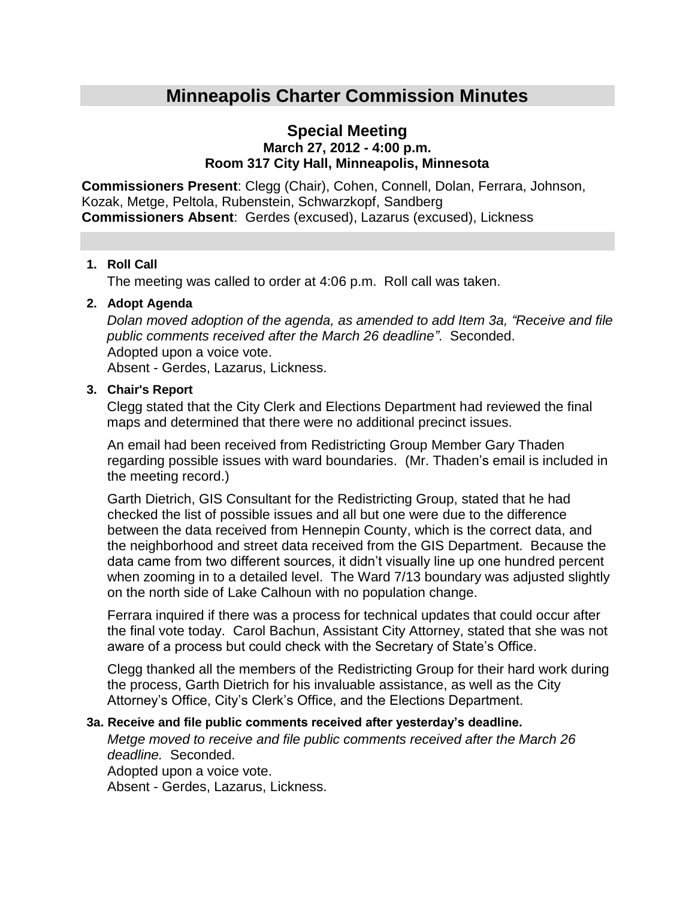# **Minneapolis Charter Commission Minutes**

### **Special Meeting March 27, 2012 - 4:00 p.m. Room 317 City Hall, Minneapolis, Minnesota**

**Commissioners Present**: Clegg (Chair), Cohen, Connell, Dolan, Ferrara, Johnson, Kozak, Metge, Peltola, Rubenstein, Schwarzkopf, Sandberg **Commissioners Absent**: Gerdes (excused), Lazarus (excused), Lickness

#### **1. Roll Call**

The meeting was called to order at 4:06 p.m. Roll call was taken.

#### **2. Adopt Agenda**

*Dolan moved adoption of the agenda, as amended to add Item 3a, "Receive and file public comments received after the March 26 deadline"*. Seconded. Adopted upon a voice vote.

Absent - Gerdes, Lazarus, Lickness.

#### **3. Chair's Report**

Clegg stated that the City Clerk and Elections Department had reviewed the final maps and determined that there were no additional precinct issues.

An email had been received from Redistricting Group Member Gary Thaden regarding possible issues with ward boundaries. (Mr. Thaden's email is included in the meeting record.)

Garth Dietrich, GIS Consultant for the Redistricting Group, stated that he had checked the list of possible issues and all but one were due to the difference between the data received from Hennepin County, which is the correct data, and the neighborhood and street data received from the GIS Department. Because the data came from two different sources, it didn't visually line up one hundred percent when zooming in to a detailed level. The Ward 7/13 boundary was adjusted slightly on the north side of Lake Calhoun with no population change.

Ferrara inquired if there was a process for technical updates that could occur after the final vote today. Carol Bachun, Assistant City Attorney, stated that she was not aware of a process but could check with the Secretary of State's Office.

Clegg thanked all the members of the Redistricting Group for their hard work during the process, Garth Dietrich for his invaluable assistance, as well as the City Attorney's Office, City's Clerk's Office, and the Elections Department.

#### **3a. Receive and file public comments received after yesterday's deadline.**

*Metge moved to receive and file public comments received after the March 26 deadline.* Seconded.

Adopted upon a voice vote. Absent - Gerdes, Lazarus, Lickness.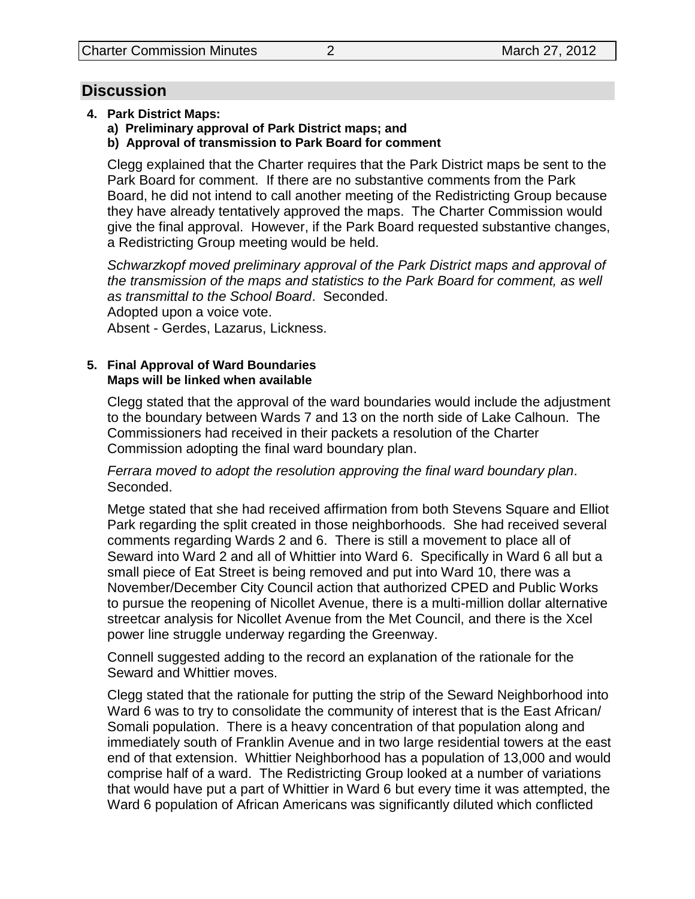## **Discussion**

- **4. Park District Maps:**
	- **a) Preliminary approval of Park District maps; and**
	- **b) Approval of transmission to Park Board for comment**

Clegg explained that the Charter requires that the Park District maps be sent to the Park Board for comment. If there are no substantive comments from the Park Board, he did not intend to call another meeting of the Redistricting Group because they have already tentatively approved the maps. The Charter Commission would give the final approval. However, if the Park Board requested substantive changes, a Redistricting Group meeting would be held.

*Schwarzkopf moved preliminary approval of the Park District maps and approval of the transmission of the maps and statistics to the Park Board for comment, as well as transmittal to the School Board*. Seconded. Adopted upon a voice vote.

Absent - Gerdes, Lazarus, Lickness.

#### **5. Final Approval of Ward Boundaries Maps will be linked when available**

Clegg stated that the approval of the ward boundaries would include the adjustment to the boundary between Wards 7 and 13 on the north side of Lake Calhoun. The Commissioners had received in their packets a resolution of the Charter Commission adopting the final ward boundary plan.

*Ferrara moved to adopt the resolution approving the final ward boundary plan*. Seconded.

Metge stated that she had received affirmation from both Stevens Square and Elliot Park regarding the split created in those neighborhoods. She had received several comments regarding Wards 2 and 6. There is still a movement to place all of Seward into Ward 2 and all of Whittier into Ward 6. Specifically in Ward 6 all but a small piece of Eat Street is being removed and put into Ward 10, there was a November/December City Council action that authorized CPED and Public Works to pursue the reopening of Nicollet Avenue, there is a multi-million dollar alternative streetcar analysis for Nicollet Avenue from the Met Council, and there is the Xcel power line struggle underway regarding the Greenway.

Connell suggested adding to the record an explanation of the rationale for the Seward and Whittier moves.

Clegg stated that the rationale for putting the strip of the Seward Neighborhood into Ward 6 was to try to consolidate the community of interest that is the East African/ Somali population. There is a heavy concentration of that population along and immediately south of Franklin Avenue and in two large residential towers at the east end of that extension. Whittier Neighborhood has a population of 13,000 and would comprise half of a ward. The Redistricting Group looked at a number of variations that would have put a part of Whittier in Ward 6 but every time it was attempted, the Ward 6 population of African Americans was significantly diluted which conflicted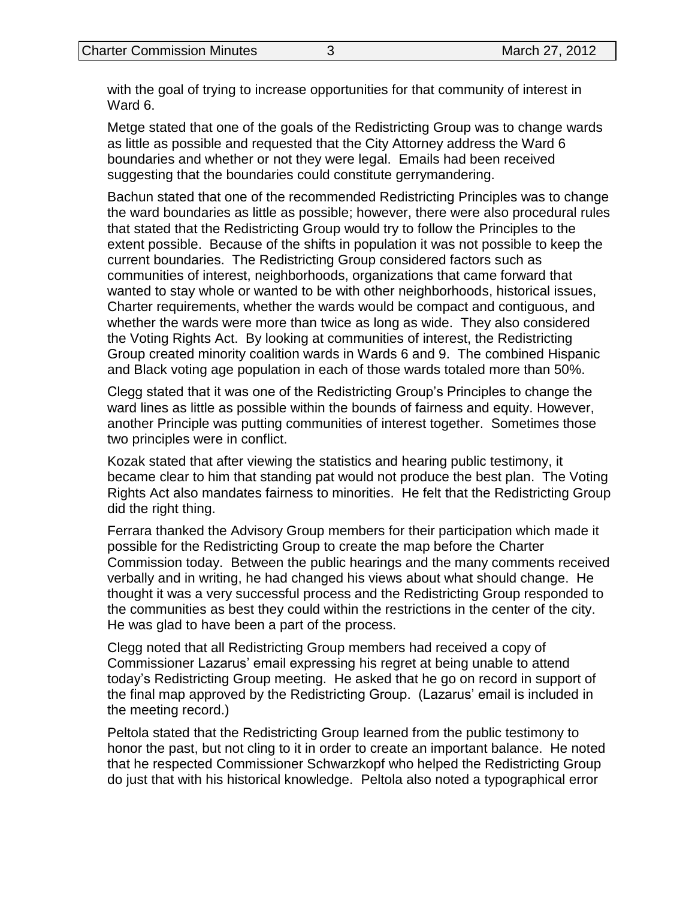with the goal of trying to increase opportunities for that community of interest in Ward 6.

Metge stated that one of the goals of the Redistricting Group was to change wards as little as possible and requested that the City Attorney address the Ward 6 boundaries and whether or not they were legal. Emails had been received suggesting that the boundaries could constitute gerrymandering.

Bachun stated that one of the recommended Redistricting Principles was to change the ward boundaries as little as possible; however, there were also procedural rules that stated that the Redistricting Group would try to follow the Principles to the extent possible. Because of the shifts in population it was not possible to keep the current boundaries. The Redistricting Group considered factors such as communities of interest, neighborhoods, organizations that came forward that wanted to stay whole or wanted to be with other neighborhoods, historical issues, Charter requirements, whether the wards would be compact and contiguous, and whether the wards were more than twice as long as wide. They also considered the Voting Rights Act. By looking at communities of interest, the Redistricting Group created minority coalition wards in Wards 6 and 9. The combined Hispanic and Black voting age population in each of those wards totaled more than 50%.

Clegg stated that it was one of the Redistricting Group's Principles to change the ward lines as little as possible within the bounds of fairness and equity. However, another Principle was putting communities of interest together. Sometimes those two principles were in conflict.

Kozak stated that after viewing the statistics and hearing public testimony, it became clear to him that standing pat would not produce the best plan. The Voting Rights Act also mandates fairness to minorities. He felt that the Redistricting Group did the right thing.

Ferrara thanked the Advisory Group members for their participation which made it possible for the Redistricting Group to create the map before the Charter Commission today. Between the public hearings and the many comments received verbally and in writing, he had changed his views about what should change. He thought it was a very successful process and the Redistricting Group responded to the communities as best they could within the restrictions in the center of the city. He was glad to have been a part of the process.

Clegg noted that all Redistricting Group members had received a copy of Commissioner Lazarus' email expressing his regret at being unable to attend today's Redistricting Group meeting. He asked that he go on record in support of the final map approved by the Redistricting Group. (Lazarus' email is included in the meeting record.)

Peltola stated that the Redistricting Group learned from the public testimony to honor the past, but not cling to it in order to create an important balance. He noted that he respected Commissioner Schwarzkopf who helped the Redistricting Group do just that with his historical knowledge. Peltola also noted a typographical error